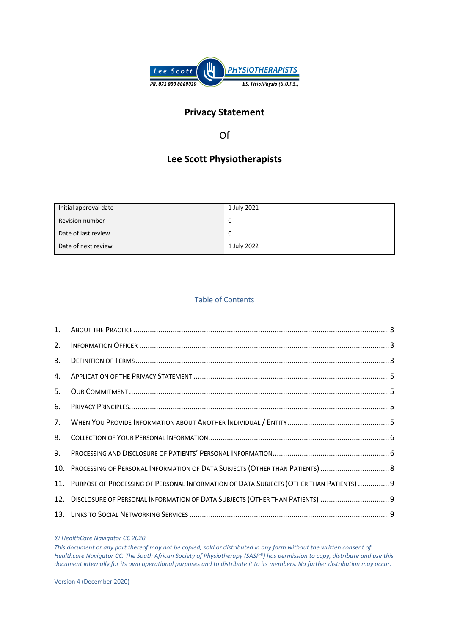

# **Privacy Statement**

Of

# **Lee Scott Physiotherapists**

| Initial approval date  | 1 July 2021 |
|------------------------|-------------|
| <b>Revision number</b> | U           |
| Date of last review    | U           |
| Date of next review    | 1 July 2022 |

# Table of Contents

| 2. |                                                                                             |  |
|----|---------------------------------------------------------------------------------------------|--|
| 3. |                                                                                             |  |
| 4. |                                                                                             |  |
| 5. |                                                                                             |  |
| 6. |                                                                                             |  |
| 7. |                                                                                             |  |
| 8. |                                                                                             |  |
| 9. |                                                                                             |  |
|    |                                                                                             |  |
|    | 11. PURPOSE OF PROCESSING OF PERSONAL INFORMATION OF DATA SUBJECTS (OTHER THAN PATIENTS)  9 |  |
|    | 12. DISCLOSURE OF PERSONAL INFORMATION OF DATA SUBJECTS (OTHER THAN PATIENTS) 9             |  |
|    |                                                                                             |  |

#### *© HealthCare Navigator CC 2020*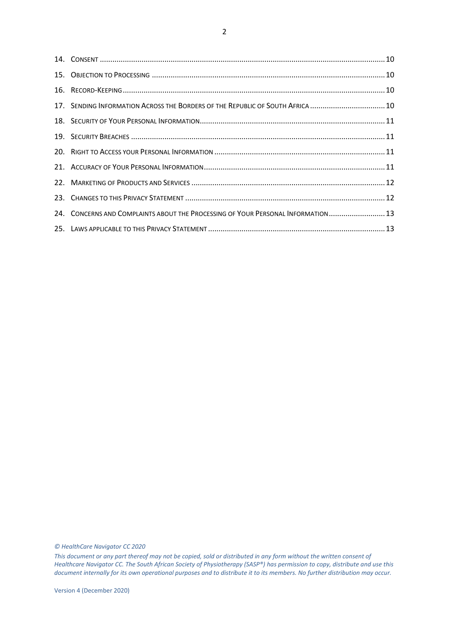| 17. SENDING INFORMATION ACROSS THE BORDERS OF THE REPUBLIC OF SOUTH AFRICA  10   |  |
|----------------------------------------------------------------------------------|--|
|                                                                                  |  |
|                                                                                  |  |
|                                                                                  |  |
|                                                                                  |  |
|                                                                                  |  |
|                                                                                  |  |
| 24. CONCERNS AND COMPLAINTS ABOUT THE PROCESSING OF YOUR PERSONAL INFORMATION 13 |  |
|                                                                                  |  |

*© HealthCare Navigator CC 2020*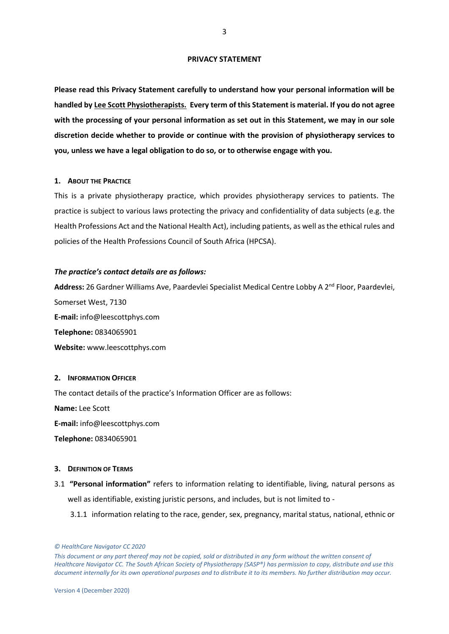#### **PRIVACY STATEMENT**

**Please read this Privacy Statement carefully to understand how your personal information will be handled by Lee Scott Physiotherapists. Every term of this Statement is material. If you do not agree with the processing of your personal information as set out in this Statement, we may in our sole discretion decide whether to provide or continue with the provision of physiotherapy services to you, unless we have a legal obligation to do so, or to otherwise engage with you.**

#### <span id="page-2-0"></span>**1. ABOUT THE PRACTICE**

This is a private physiotherapy practice, which provides physiotherapy services to patients. The practice is subject to various laws protecting the privacy and confidentiality of data subjects (e.g. the Health Professions Act and the National Health Act), including patients, as well as the ethical rules and policies of the Health Professions Council of South Africa (HPCSA).

## *The practice's contact details are as follows:*

**Address:** 26 Gardner Williams Ave, Paardevlei Specialist Medical Centre Lobby A 2nd Floor, Paardevlei, Somerset West, 7130 **E-mail:** info@leescottphys.com **Telephone:** 0834065901 **Website:** www.leescottphys.com

## <span id="page-2-1"></span>**2. INFORMATION OFFICER**

The contact details of the practice's Information Officer are as follows:

**Name:** Lee Scott

**E-mail:** info@leescottphys.com

**Telephone:** 0834065901

### <span id="page-2-2"></span>**3. DEFINITION OF TERMS**

3.1 **"Personal information"** refers to information relating to identifiable, living, natural persons as well as identifiable, existing juristic persons, and includes, but is not limited to -

3.1.1 information relating to the race, gender, sex, pregnancy, marital status, national, ethnic or

*<sup>©</sup> HealthCare Navigator CC 2020* 

*This document or any part thereof may not be copied, sold or distributed in any form without the written consent of Healthcare Navigator CC. The South African Society of Physiotherapy (SASP®) has permission to copy, distribute and use this document internally for its own operational purposes and to distribute it to its members. No further distribution may occur.*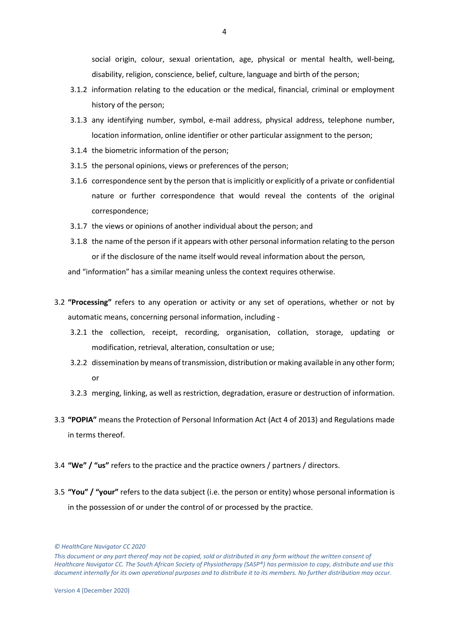social origin, colour, sexual orientation, age, physical or mental health, well-being, disability, religion, conscience, belief, culture, language and birth of the person;

- 3.1.2 information relating to the education or the medical, financial, criminal or employment history of the person;
- 3.1.3 any identifying number, symbol, e-mail address, physical address, telephone number, location information, online identifier or other particular assignment to the person;
- 3.1.4 the biometric information of the person;
- 3.1.5 the personal opinions, views or preferences of the person;
- 3.1.6 correspondence sent by the person that is implicitly or explicitly of a private or confidential nature or further correspondence that would reveal the contents of the original correspondence;
- 3.1.7 the views or opinions of another individual about the person; and
- 3.1.8 the name of the person if it appears with other personal information relating to the person or if the disclosure of the name itself would reveal information about the person,
- and "information" has a similar meaning unless the context requires otherwise.
- 3.2 **"Processing"** refers to any operation or activity or any set of operations, whether or not by automatic means, concerning personal information, including -
	- 3.2.1 the collection, receipt, recording, organisation, collation, storage, updating or modification, retrieval, alteration, consultation or use;
	- 3.2.2 dissemination by means of transmission, distribution or making available in any other form; or
	- 3.2.3 merging, linking, as well as restriction, degradation, erasure or destruction of information.
- 3.3 **"POPIA"** means the Protection of Personal Information Act (Act 4 of 2013) and Regulations made in terms thereof.
- 3.4 **"We" / "us"** refers to the practice and the practice owners / partners / directors.
- 3.5 **"You" / "your"** refers to the data subject (i.e. the person or entity) whose personal information is in the possession of or under the control of or processed by the practice.

*<sup>©</sup> HealthCare Navigator CC 2020* 

*This document or any part thereof may not be copied, sold or distributed in any form without the written consent of Healthcare Navigator CC. The South African Society of Physiotherapy (SASP®) has permission to copy, distribute and use this document internally for its own operational purposes and to distribute it to its members. No further distribution may occur.*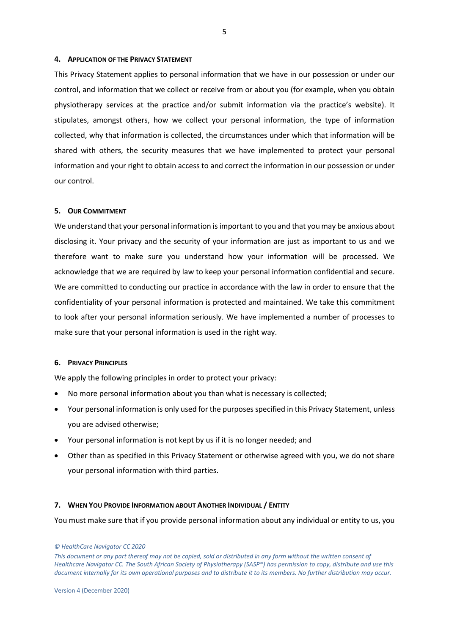#### <span id="page-4-0"></span>**4. APPLICATION OF THE PRIVACY STATEMENT**

This Privacy Statement applies to personal information that we have in our possession or under our control, and information that we collect or receive from or about you (for example, when you obtain physiotherapy services at the practice and/or submit information via the practice's website). It stipulates, amongst others, how we collect your personal information, the type of information collected, why that information is collected, the circumstances under which that information will be shared with others, the security measures that we have implemented to protect your personal information and your right to obtain access to and correct the information in our possession or under our control.

# <span id="page-4-1"></span>**5. OUR COMMITMENT**

We understand that your personal information is important to you and that you may be anxious about disclosing it. Your privacy and the security of your information are just as important to us and we therefore want to make sure you understand how your information will be processed. We acknowledge that we are required by law to keep your personal information confidential and secure. We are committed to conducting our practice in accordance with the law in order to ensure that the confidentiality of your personal information is protected and maintained. We take this commitment to look after your personal information seriously. We have implemented a number of processes to make sure that your personal information is used in the right way.

#### <span id="page-4-2"></span>**6. PRIVACY PRINCIPLES**

We apply the following principles in order to protect your privacy:

- No more personal information about you than what is necessary is collected;
- Your personal information is only used for the purposes specified in this Privacy Statement, unless you are advised otherwise;
- Your personal information is not kept by us if it is no longer needed; and
- Other than as specified in this Privacy Statement or otherwise agreed with you, we do not share your personal information with third parties.

#### <span id="page-4-3"></span>**7. WHEN YOU PROVIDE INFORMATION ABOUT ANOTHER INDIVIDUAL / ENTITY**

You must make sure that if you provide personal information about any individual or entity to us, you

*<sup>©</sup> HealthCare Navigator CC 2020* 

*This document or any part thereof may not be copied, sold or distributed in any form without the written consent of Healthcare Navigator CC. The South African Society of Physiotherapy (SASP®) has permission to copy, distribute and use this document internally for its own operational purposes and to distribute it to its members. No further distribution may occur.*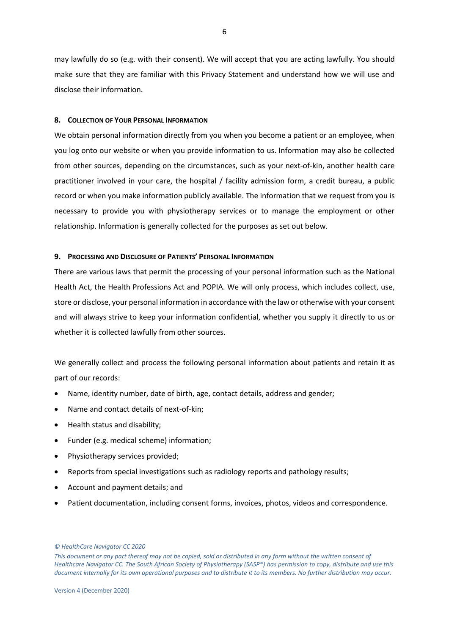may lawfully do so (e.g. with their consent). We will accept that you are acting lawfully. You should make sure that they are familiar with this Privacy Statement and understand how we will use and disclose their information.

#### <span id="page-5-0"></span>**8. COLLECTION OF YOUR PERSONAL INFORMATION**

We obtain personal information directly from you when you become a patient or an employee, when you log onto our website or when you provide information to us. Information may also be collected from other sources, depending on the circumstances, such as your next-of-kin, another health care practitioner involved in your care, the hospital / facility admission form, a credit bureau, a public record or when you make information publicly available. The information that we request from you is necessary to provide you with physiotherapy services or to manage the employment or other relationship. Information is generally collected for the purposes as set out below.

## <span id="page-5-1"></span>**9. PROCESSING AND DISCLOSURE OF PATIENTS' PERSONAL INFORMATION**

There are various laws that permit the processing of your personal information such as the National Health Act, the Health Professions Act and POPIA. We will only process, which includes collect, use, store or disclose, your personal information in accordance with the law or otherwise with your consent and will always strive to keep your information confidential, whether you supply it directly to us or whether it is collected lawfully from other sources.

We generally collect and process the following personal information about patients and retain it as part of our records:

- Name, identity number, date of birth, age, contact details, address and gender;
- Name and contact details of next-of-kin;
- Health status and disability;
- Funder (e.g. medical scheme) information;
- Physiotherapy services provided;
- Reports from special investigations such as radiology reports and pathology results;
- Account and payment details; and
- Patient documentation, including consent forms, invoices, photos, videos and correspondence.

*<sup>©</sup> HealthCare Navigator CC 2020* 

*This document or any part thereof may not be copied, sold or distributed in any form without the written consent of Healthcare Navigator CC. The South African Society of Physiotherapy (SASP®) has permission to copy, distribute and use this document internally for its own operational purposes and to distribute it to its members. No further distribution may occur.*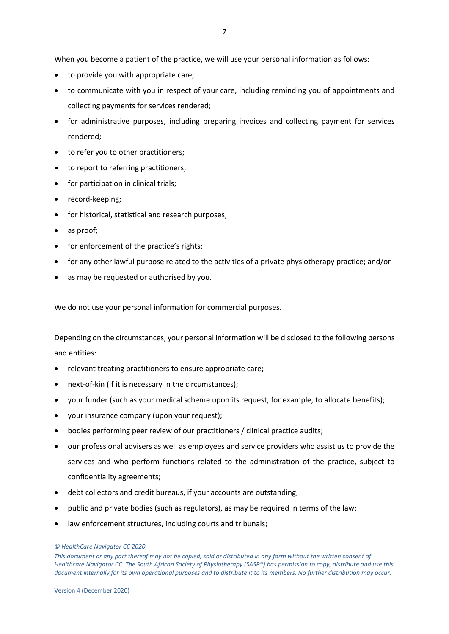When you become a patient of the practice, we will use your personal information as follows:

- to provide you with appropriate care;
- to communicate with you in respect of your care, including reminding you of appointments and collecting payments for services rendered;
- for administrative purposes, including preparing invoices and collecting payment for services rendered;
- to refer you to other practitioners;
- to report to referring practitioners;
- for participation in clinical trials;
- record-keeping;
- for historical, statistical and research purposes;
- as proof;
- for enforcement of the practice's rights;
- for any other lawful purpose related to the activities of a private physiotherapy practice; and/or
- as may be requested or authorised by you.

We do not use your personal information for commercial purposes.

Depending on the circumstances, your personal information will be disclosed to the following persons and entities:

- relevant treating practitioners to ensure appropriate care;
- next-of-kin (if it is necessary in the circumstances);
- your funder (such as your medical scheme upon its request, for example, to allocate benefits);
- your insurance company (upon your request);
- bodies performing peer review of our practitioners / clinical practice audits;
- our professional advisers as well as employees and service providers who assist us to provide the services and who perform functions related to the administration of the practice, subject to confidentiality agreements;
- debt collectors and credit bureaus, if your accounts are outstanding;
- public and private bodies (such as regulators), as may be required in terms of the law;
- law enforcement structures, including courts and tribunals;

*<sup>©</sup> HealthCare Navigator CC 2020* 

*This document or any part thereof may not be copied, sold or distributed in any form without the written consent of Healthcare Navigator CC. The South African Society of Physiotherapy (SASP®) has permission to copy, distribute and use this document internally for its own operational purposes and to distribute it to its members. No further distribution may occur.*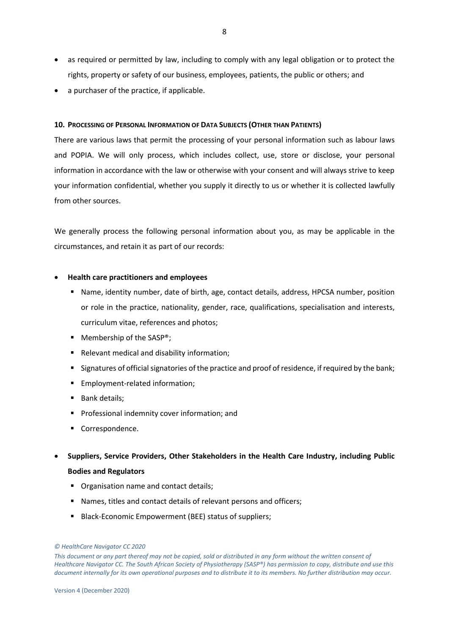- as required or permitted by law, including to comply with any legal obligation or to protect the rights, property or safety of our business, employees, patients, the public or others; and
- a purchaser of the practice, if applicable.

# <span id="page-7-0"></span>**10. PROCESSING OF PERSONAL INFORMATION OF DATA SUBJECTS (OTHER THAN PATIENTS)**

There are various laws that permit the processing of your personal information such as labour laws and POPIA. We will only process, which includes collect, use, store or disclose, your personal information in accordance with the law or otherwise with your consent and will always strive to keep your information confidential, whether you supply it directly to us or whether it is collected lawfully from other sources.

We generally process the following personal information about you, as may be applicable in the circumstances, and retain it as part of our records:

# • **Health care practitioners and employees**

- Name, identity number, date of birth, age, contact details, address, HPCSA number, position or role in the practice, nationality, gender, race, qualifications, specialisation and interests, curriculum vitae, references and photos;
- Membership of the SASP<sup>®</sup>;
- Relevant medical and disability information;
- Signatures of official signatories of the practice and proof of residence, if required by the bank;
- Employment-related information;
- Bank details;
- **•** Professional indemnity cover information; and
- Correspondence.
- **Suppliers, Service Providers, Other Stakeholders in the Health Care Industry, including Public Bodies and Regulators**
	- Organisation name and contact details;
	- Names, titles and contact details of relevant persons and officers;
	- Black-Economic Empowerment (BEE) status of suppliers;

*<sup>©</sup> HealthCare Navigator CC 2020* 

*This document or any part thereof may not be copied, sold or distributed in any form without the written consent of Healthcare Navigator CC. The South African Society of Physiotherapy (SASP®) has permission to copy, distribute and use this document internally for its own operational purposes and to distribute it to its members. No further distribution may occur.*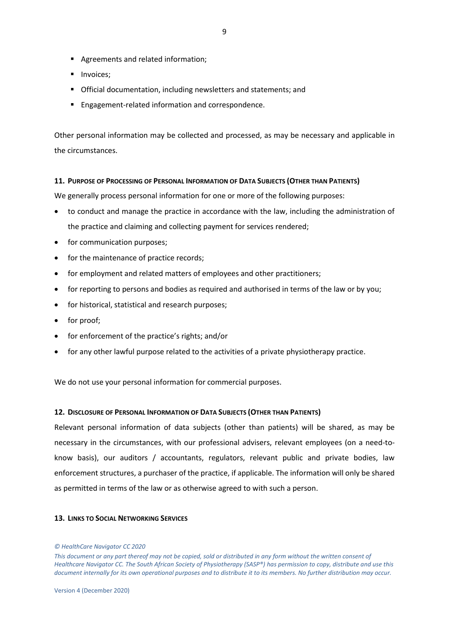- Agreements and related information;
- **■** Invoices:
- Official documentation, including newsletters and statements; and
- Engagement-related information and correspondence.

Other personal information may be collected and processed, as may be necessary and applicable in the circumstances.

#### <span id="page-8-0"></span>**11. PURPOSE OF PROCESSING OF PERSONAL INFORMATION OF DATA SUBJECTS (OTHER THAN PATIENTS)**

We generally process personal information for one or more of the following purposes:

- to conduct and manage the practice in accordance with the law, including the administration of the practice and claiming and collecting payment for services rendered;
- for communication purposes;
- for the maintenance of practice records;
- for employment and related matters of employees and other practitioners;
- for reporting to persons and bodies as required and authorised in terms of the law or by you;
- for historical, statistical and research purposes;
- for proof;
- for enforcement of the practice's rights; and/or
- for any other lawful purpose related to the activities of a private physiotherapy practice.

We do not use your personal information for commercial purposes.

## <span id="page-8-1"></span>**12. DISCLOSURE OF PERSONAL INFORMATION OF DATA SUBJECTS (OTHER THAN PATIENTS)**

Relevant personal information of data subjects (other than patients) will be shared, as may be necessary in the circumstances, with our professional advisers, relevant employees (on a need-toknow basis), our auditors / accountants, regulators, relevant public and private bodies, law enforcement structures, a purchaser of the practice, if applicable. The information will only be shared as permitted in terms of the law or as otherwise agreed to with such a person.

## <span id="page-8-2"></span>**13. LINKS TO SOCIAL NETWORKING SERVICES**

#### *© HealthCare Navigator CC 2020*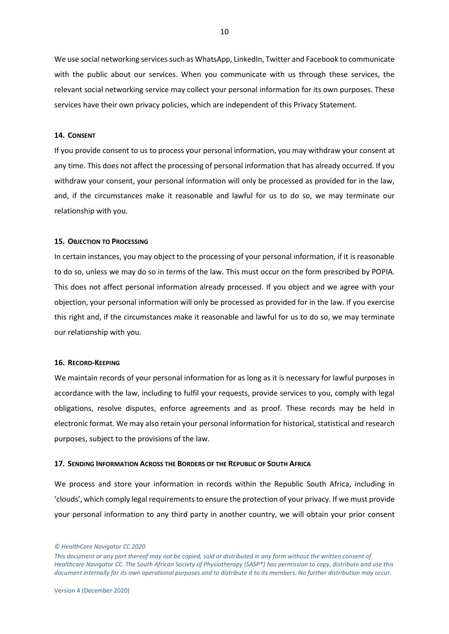We use social networking services such as WhatsApp, LinkedIn, Twitter and Facebook to communicate with the public about our services. When you communicate with us through these services, the relevant social networking service may collect your personal information for its own purposes. These services have their own privacy policies, which are independent of this Privacy Statement.

# <span id="page-9-0"></span>**14. CONSENT**

If you provide consent to us to process your personal information, you may withdraw your consent at any time. This does not affect the processing of personal information that has already occurred. If you withdraw your consent, your personal information will only be processed as provided for in the law, and, if the circumstances make it reasonable and lawful for us to do so, we may terminate our relationship with you.

### <span id="page-9-1"></span>**15. OBJECTION TO PROCESSING**

In certain instances, you may object to the processing of your personal information, if it is reasonable to do so, unless we may do so in terms of the law. This must occur on the form prescribed by POPIA. This does not affect personal information already processed. If you object and we agree with your objection, your personal information will only be processed as provided for in the law. If you exercise this right and, if the circumstances make it reasonable and lawful for us to do so, we may terminate our relationship with you.

# <span id="page-9-2"></span>**16. RECORD-KEEPING**

We maintain records of your personal information for as long as it is necessary for lawful purposes in accordance with the law, including to fulfil your requests, provide services to you, comply with legal obligations, resolve disputes, enforce agreements and as proof. These records may be held in electronic format. We may also retain your personal information for historical, statistical and research purposes, subject to the provisions of the law.

# <span id="page-9-3"></span>**17. SENDING INFORMATION ACROSS THE BORDERS OF THE REPUBLIC OF SOUTH AFRICA**

We process and store your information in records within the Republic South Africa, including in 'clouds', which comply legal requirements to ensure the protection of your privacy. If we must provide your personal information to any third party in another country, we will obtain your prior consent

*<sup>©</sup> HealthCare Navigator CC 2020* 

*This document or any part thereof may not be copied, sold or distributed in any form without the written consent of Healthcare Navigator CC. The South African Society of Physiotherapy (SASP®) has permission to copy, distribute and use this document internally for its own operational purposes and to distribute it to its members. No further distribution may occur.*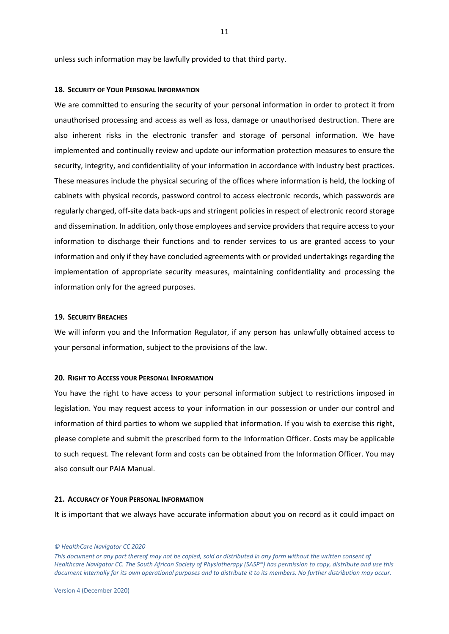unless such information may be lawfully provided to that third party.

#### <span id="page-10-0"></span>**18. SECURITY OF YOUR PERSONAL INFORMATION**

We are committed to ensuring the security of your personal information in order to protect it from unauthorised processing and access as well as loss, damage or unauthorised destruction. There are also inherent risks in the electronic transfer and storage of personal information. We have implemented and continually review and update our information protection measures to ensure the security, integrity, and confidentiality of your information in accordance with industry best practices. These measures include the physical securing of the offices where information is held, the locking of cabinets with physical records, password control to access electronic records, which passwords are regularly changed, off-site data back-ups and stringent policies in respect of electronic record storage and dissemination. In addition, only those employees and service providers that require access to your information to discharge their functions and to render services to us are granted access to your information and only if they have concluded agreements with or provided undertakings regarding the implementation of appropriate security measures, maintaining confidentiality and processing the information only for the agreed purposes.

# <span id="page-10-1"></span>**19. SECURITY BREACHES**

We will inform you and the Information Regulator, if any person has unlawfully obtained access to your personal information, subject to the provisions of the law.

#### <span id="page-10-2"></span>**20. RIGHT TO ACCESS YOUR PERSONAL INFORMATION**

You have the right to have access to your personal information subject to restrictions imposed in legislation. You may request access to your information in our possession or under our control and information of third parties to whom we supplied that information. If you wish to exercise this right, please complete and submit the prescribed form to the Information Officer. Costs may be applicable to such request. The relevant form and costs can be obtained from the Information Officer. You may also consult our PAIA Manual.

# <span id="page-10-3"></span>**21. ACCURACY OF YOUR PERSONAL INFORMATION**

It is important that we always have accurate information about you on record as it could impact on

#### *© HealthCare Navigator CC 2020*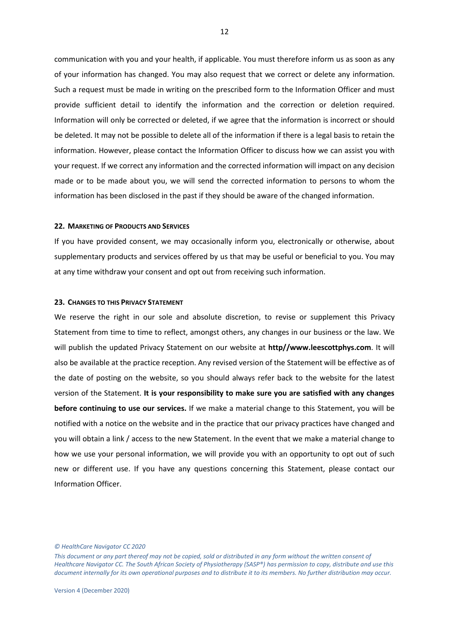communication with you and your health, if applicable. You must therefore inform us as soon as any of your information has changed. You may also request that we correct or delete any information. Such a request must be made in writing on the prescribed form to the Information Officer and must provide sufficient detail to identify the information and the correction or deletion required. Information will only be corrected or deleted, if we agree that the information is incorrect or should be deleted. It may not be possible to delete all of the information if there is a legal basis to retain the information. However, please contact the Information Officer to discuss how we can assist you with your request. If we correct any information and the corrected information will impact on any decision made or to be made about you, we will send the corrected information to persons to whom the information has been disclosed in the past if they should be aware of the changed information.

# <span id="page-11-0"></span>**22. MARKETING OF PRODUCTS AND SERVICES**

If you have provided consent, we may occasionally inform you, electronically or otherwise, about supplementary products and services offered by us that may be useful or beneficial to you. You may at any time withdraw your consent and opt out from receiving such information.

#### <span id="page-11-1"></span>**23. CHANGES TO THIS PRIVACY STATEMENT**

We reserve the right in our sole and absolute discretion, to revise or supplement this Privacy Statement from time to time to reflect, amongst others, any changes in our business or the law. We will publish the updated Privacy Statement on our website at **http//www.leescottphys.com**. It will also be available at the practice reception. Any revised version of the Statement will be effective as of the date of posting on the website, so you should always refer back to the website for the latest version of the Statement. **It is your responsibility to make sure you are satisfied with any changes before continuing to use our services.** If we make a material change to this Statement, you will be notified with a notice on the website and in the practice that our privacy practices have changed and you will obtain a link / access to the new Statement. In the event that we make a material change to how we use your personal information, we will provide you with an opportunity to opt out of such new or different use. If you have any questions concerning this Statement, please contact our Information Officer.

*© HealthCare Navigator CC 2020*